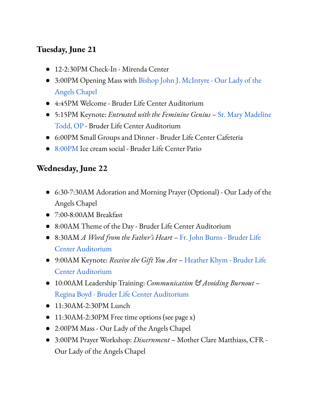## **Tuesday, June 21**

- 12-2:30PM Check-In Mirenda Center
- 3:00PM Opening Mass with [Bishop John J. McIntyre](https://giveninstitute.com/bishop-mcintyre/) Our Lady of the Angels Chapel
- 4:45PM Welcome Bruder Life Center Auditorium
- 5:15PM Keynote: *Entrusted with the Feminine Genius* [Sr. Mary Madeline](https://giveninstitute.com/sr-mary-madeline-todd-op/) [Todd, OP](https://giveninstitute.com/sr-mary-madeline-todd-op/) - Bruder Life Center Auditorium
- 6:00PM Small Groups and Dinner Bruder Life Center Cafeteria
- 8:00PM Ice cream social Bruder Life Center Patio

#### **Wednesday, June 22**

- 6:30-7:30AM Adoration and Morning Prayer (Optional) Our Lady of the Angels Chapel
- 7:00-8:00AM Breakfast
- 8:00AM Theme of the Day Bruder Life Center Auditorium
- 8:30AM *A Word from the Father's Heart* [Fr. John Burns](https://giveninstitute.com/fr-john-burns/) Bruder Life Center Auditorium
- 9:00AM Keynote: *Receive the Gift You Are* [Heather](https://giveninstitute.com/heather-khym/) Khym Bruder Life Center Auditorium
- 10:00AM Leadership Training: *Communication & Avoiding Burnout* [Regina Boyd](https://giveninstitute.com/regina-boyd/) - Bruder Life Center Auditorium
- 11:30AM-2:30PM Lunch
- 11:30AM-2:30PM Free time options (see page x)
- 2:00PM Mass Our Lady of the Angels Chapel
- 3:00PM Prayer Workshop: *Discernment* Mother Clare Matthiass, CFR Our Lady of the Angels Chapel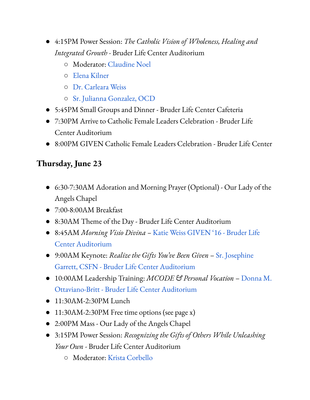- 4:15PM Power Session: *The Catholic Vision of Wholeness, Healing and Integrated Growth -* Bruder Life Center Auditorium
	- Moderator: [Claudine Noel](https://giveninstitute.com/claudine-noel/)
	- [Elena Kilner](https://giveninstitute.com/elena-kilner/)
	- [Dr. Carleara Weiss](https://giveninstitute.com/dr-carleara-weiss/)
	- [Sr. Julianna Gonzalez, OCD](https://giveninstitute.com/sr-julianna-gonzalez-ocd/)
- 5:45PM Small Groups and Dinner Bruder Life Center Cafeteria
- 7:30PM Arrive to Catholic Female Leaders Celebration Bruder Life Center Auditorium
- 8:00PM GIVEN Catholic Female Leaders Celebration Bruder Life Center

# **Thursday, June 23**

- 6:30-7:30AM Adoration and Morning Prayer (Optional) Our Lady of the Angels Chapel
- 7:00-8:00AM Breakfast
- 8:30AM Theme of the Day Bruder Life Center Auditorium
- 8:45AM *Morning Visio Divina –* [Katie Weiss](https://giveninstitute.com/katie-weiss/) GIVEN '16 Bruder Life Center Auditorium
- 9:00AM Keynote: *Realize the Gifts You've Been Given* [Sr. Josephine](https://giveninstitute.com/sr-josephine-garrett/) [Garrett, CSFN](https://giveninstitute.com/sr-josephine-garrett/) - Bruder Life Center Auditorium
- 10:00AM Leadership Training: *MCODE & Personal Vocation* [Donna M.](https://giveninstitute.com/donna-m-ottaviano-britt/) [Ottaviano-Britt](https://giveninstitute.com/donna-m-ottaviano-britt/) - Bruder Life Center Auditorium
- 11:30AM-2:30PM Lunch
- 11:30AM-2:30PM Free time options (see page x)
- 2:00PM Mass Our Lady of the Angels Chapel
- 3:15PM Power Session: *Recognizing the Gifts of Others While Unleashing Your Own -* Bruder Life Center Auditorium
	- Moderator: [Krista Corbello](https://giveninstitute.com/krista-corbello-speaker/)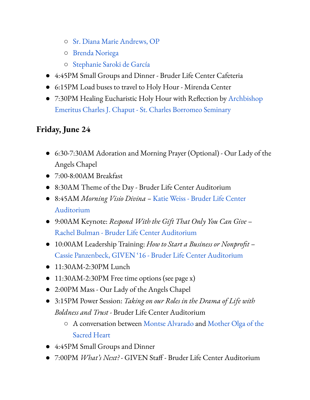- [Sr. Diana Marie Andrews, OP](https://giveninstitute.com/sr-diana-marie-andrews-op/)
- [Brenda Noriega](https://giveninstitute.com/brenda-noriega/)
- [Stephanie Saroki de García](https://giveninstitute.com/stephanie-saroki-de-garcia/)
- 4:45PM Small Groups and Dinner Bruder Life Center Cafeteria
- 6:15PM Load buses to travel to Holy Hour Mirenda Center
- 7:30PM Healing Eucharistic Holy Hour with Reflection by [Archbishop](https://giveninstitute.com/archbishop-chaput/) [Emeritus Charles J. Chaput](https://giveninstitute.com/archbishop-chaput/) - St. Charles Borromeo Seminary

# **Friday, June 24**

- 6:30-7:30AM Adoration and Morning Prayer (Optional) Our Lady of the Angels Chapel
- 7:00-8:00AM Breakfast
- 8:30AM Theme of the Day Bruder Life Center Auditorium
- 8:45AM *Morning Visio Divina –* [Katie Weiss](https://giveninstitute.com/katie-weiss/) Bruder Life Center Auditorium
- 9:00AM Keynote: *Respond With the Gift That Only You Can Give* [Rachel Bulman](https://giveninstitute.com/rachel-bulman/) - Bruder Life Center Auditorium
- 10:00AM Leadership Training: *How to Start a Business or Nonprofit* [Cassie Panzenbeck](https://giveninstitute.com/cassie-panzenbeck/), GIVEN '16 - Bruder Life Center Auditorium
- 11:30AM-2:30PM Lunch
- 11:30AM-2:30PM Free time options (see page x)
- 2:00PM Mass Our Lady of the Angels Chapel
- 3:15PM Power Session: *Taking on our Roles in the Drama of Life with Boldness and Trust -* Bruder Life Center Auditorium
	- A conversation between [Montse Alvarado](https://giveninstitute.com/montse-alvarado/) and Mother [Olga of the](https://giveninstitute.com/mother-olga-of-the-sacred-heart/) [Sacred Heart](https://giveninstitute.com/mother-olga-of-the-sacred-heart/)
- 4:45PM Small Groups and Dinner
- 7:00PM *What's Next?* GIVEN Staff Bruder Life Center Auditorium